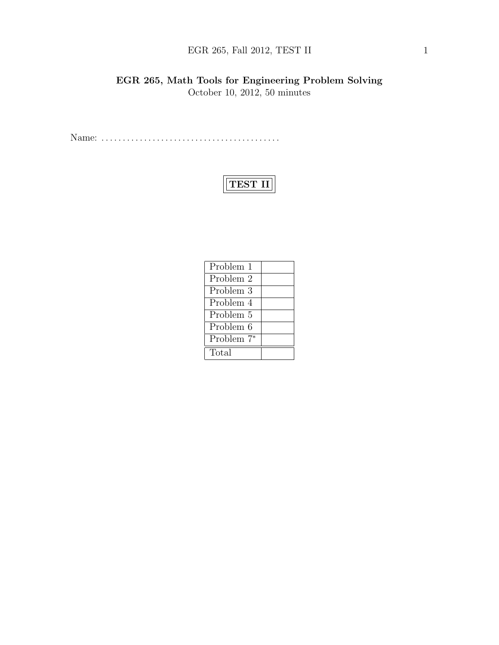# EGR 265, Fall 2012, TEST II  $1$

EGR 265, Math Tools for Engineering Problem Solving October 10, 2012, 50 minutes

Name: . . . . . . . . . . . . . . . . . . . . . . . . . . . . . . . . . . . . . . . . . .

# TEST II

| Problem 1              |  |
|------------------------|--|
| Problem 2              |  |
| Problem 3              |  |
| Problem 4              |  |
| Problem 5              |  |
| Problem 6              |  |
| Problem 7 <sup>*</sup> |  |
| Total                  |  |
|                        |  |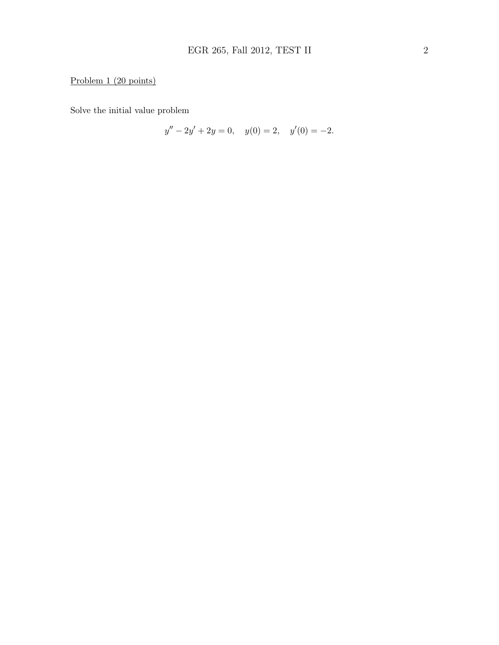# Problem 1 (20 points)

Solve the initial value problem

$$
y'' - 2y' + 2y = 0, \quad y(0) = 2, \quad y'(0) = -2.
$$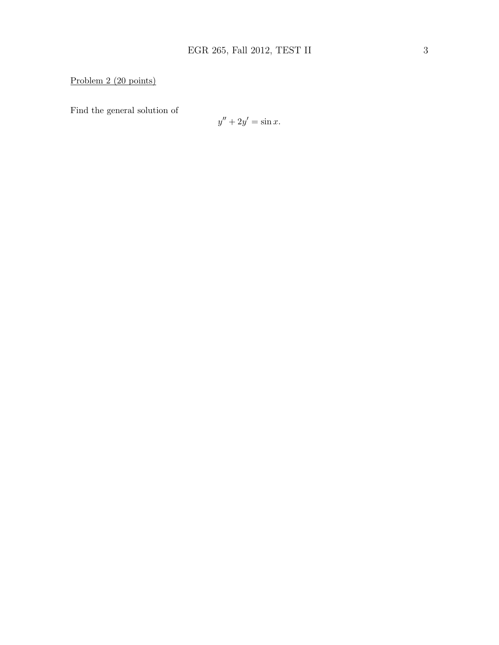### Problem 2 (20 points)

Find the general solution of

$$
y'' + 2y' = \sin x.
$$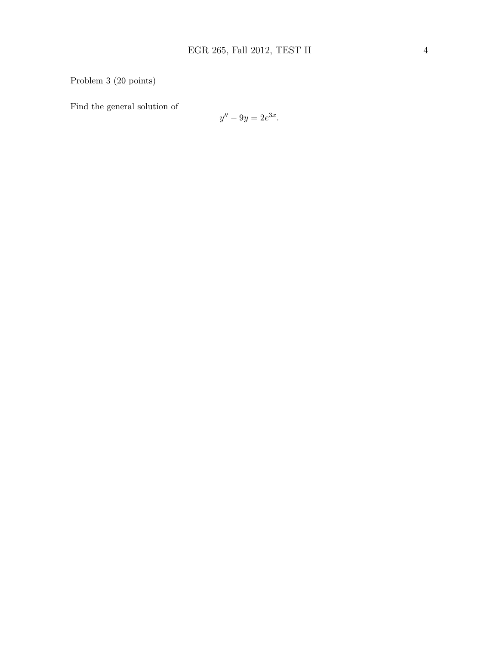Problem 3 (20 points)

Find the general solution of

$$
y'' - 9y = 2e^{3x}.
$$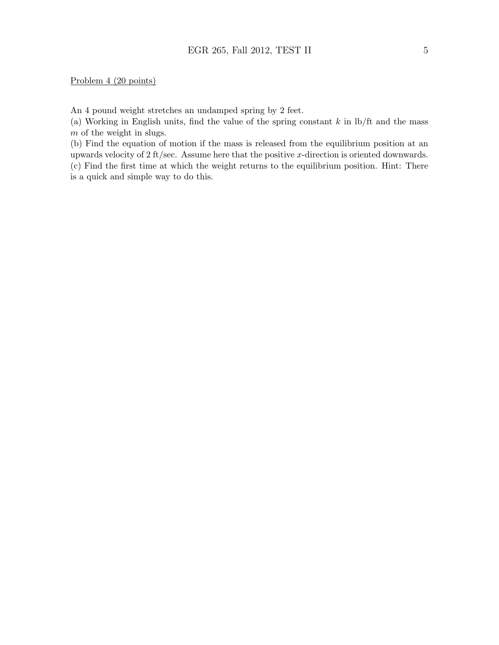An 4 pound weight stretches an undamped spring by 2 feet.

(a) Working in English units, find the value of the spring constant  $k$  in  $\frac{1}{k}$  and the mass m of the weight in slugs.

(b) Find the equation of motion if the mass is released from the equilibrium position at an upwards velocity of 2 ft/sec. Assume here that the positive x-direction is oriented downwards. (c) Find the first time at which the weight returns to the equilibrium position. Hint: There

is a quick and simple way to do this.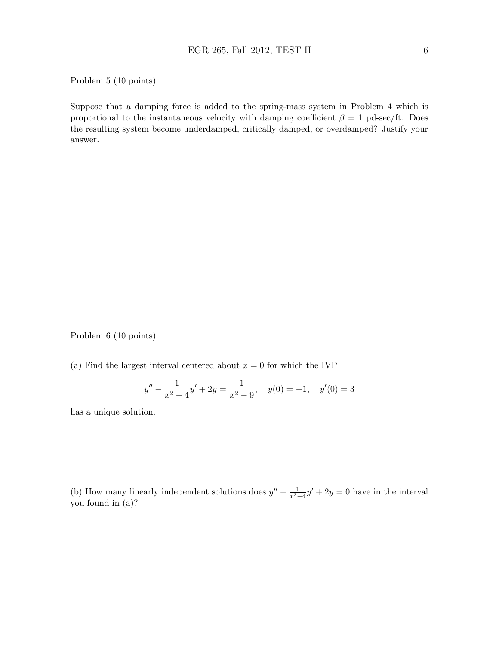#### Problem 5 (10 points)

Suppose that a damping force is added to the spring-mass system in Problem 4 which is proportional to the instantaneous velocity with damping coefficient  $\beta = 1$  pd-sec/ft. Does the resulting system become underdamped, critically damped, or overdamped? Justify your answer.

Problem 6 (10 points)

(a) Find the largest interval centered about  $x = 0$  for which the IVP

$$
y'' - \frac{1}{x^2 - 4}y' + 2y = \frac{1}{x^2 - 9}, \quad y(0) = -1, \quad y'(0) = 3
$$

has a unique solution.

(b) How many linearly independent solutions does  $y'' - \frac{1}{x^2-4}y' + 2y = 0$  have in the interval you found in (a)?